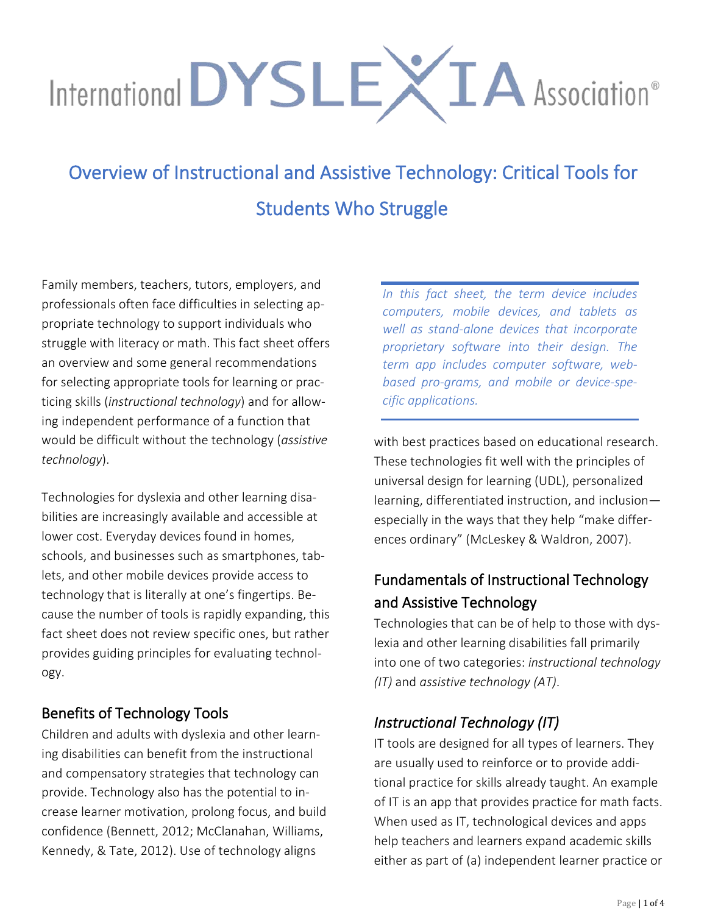# International DYSLEXIA Association®

Overview of Instructional and Assistive Technology: Critical Tools for Students Who Struggle

Family members, teachers, tutors, employers, and professionals often face difficulties in selecting appropriate technology to support individuals who struggle with literacy or math. This fact sheet offers an overview and some general recommendations for selecting appropriate tools for learning or practicing skills (*instructional technology*) and for allowing independent performance of a function that would be difficult without the technology (*assistive technology*).

Technologies for dyslexia and other learning disabilities are increasingly available and accessible at lower cost. Everyday devices found in homes, schools, and businesses such as smartphones, tablets, and other mobile devices provide access to technology that is literally at one's fingertips. Because the number of tools is rapidly expanding, this fact sheet does not review specific ones, but rather provides guiding principles for evaluating technology.

#### Benefits of Technology Tools

Children and adults with dyslexia and other learning disabilities can benefit from the instructional and compensatory strategies that technology can provide. Technology also has the potential to increase learner motivation, prolong focus, and build confidence (Bennett, 2012; McClanahan, Williams, Kennedy, & Tate, 2012). Use of technology aligns

*In this fact sheet, the term device includes computers, mobile devices, and tablets as well as stand-alone devices that incorporate proprietary software into their design. The term app includes computer software, webbased pro-grams, and mobile or device-specific applications.* 

with best practices based on educational research. These technologies fit well with the principles of universal design for learning (UDL), personalized learning, differentiated instruction, and inclusion especially in the ways that they help "make differences ordinary" (McLeskey & Waldron, 2007).

# Fundamentals of Instructional Technology and Assistive Technology

Technologies that can be of help to those with dyslexia and other learning disabilities fall primarily into one of two categories: *instructional technology (IT)* and *assistive technology (AT)*.

## *Instructional Technology (IT)*

IT tools are designed for all types of learners. They are usually used to reinforce or to provide additional practice for skills already taught. An example of IT is an app that provides practice for math facts. When used as IT, technological devices and apps help teachers and learners expand academic skills either as part of (a) independent learner practice or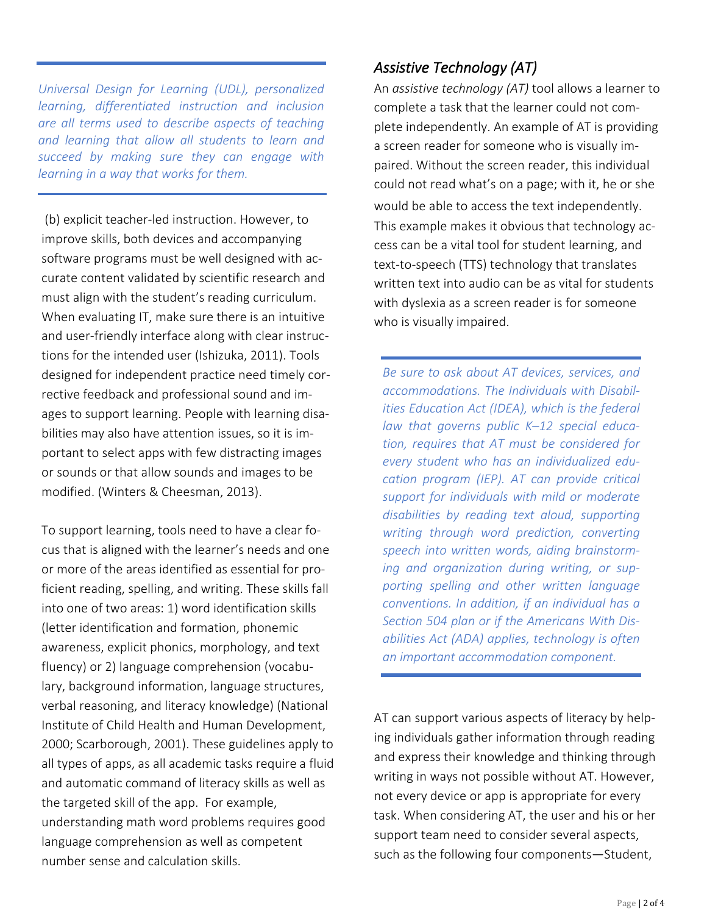*Universal Design for Learning (UDL), personalized learning, differentiated instruction and inclusion are all terms used to describe aspects of teaching and learning that allow all students to learn and succeed by making sure they can engage with learning in a way that works for them.* 

(b) explicit teacher-led instruction. However, to improve skills, both devices and accompanying software programs must be well designed with accurate content validated by scientific research and must align with the student's reading curriculum. When evaluating IT, make sure there is an intuitive and user-friendly interface along with clear instructions for the intended user (Ishizuka, 2011). Tools designed for independent practice need timely corrective feedback and professional sound and images to support learning. People with learning disabilities may also have attention issues, so it is important to select apps with few distracting images or sounds or that allow sounds and images to be modified. (Winters & Cheesman, 2013).

To support learning, tools need to have a clear focus that is aligned with the learner's needs and one or more of the areas identified as essential for proficient reading, spelling, and writing. These skills fall into one of two areas: 1) word identification skills (letter identification and formation, phonemic awareness, explicit phonics, morphology, and text fluency) or 2) language comprehension (vocabulary, background information, language structures, verbal reasoning, and literacy knowledge) (National Institute of Child Health and Human Development, 2000; Scarborough, 2001). These guidelines apply to all types of apps, as all academic tasks require a fluid and automatic command of literacy skills as well as the targeted skill of the app. For example, understanding math word problems requires good language comprehension as well as competent number sense and calculation skills.

#### *Assistive Technology (AT)*

An *assistive technology (AT)* tool allows a learner to complete a task that the learner could not complete independently. An example of AT is providing a screen reader for someone who is visually impaired. Without the screen reader, this individual could not read what's on a page; with it, he or she would be able to access the text independently. This example makes it obvious that technology access can be a vital tool for student learning, and text-to-speech (TTS) technology that translates written text into audio can be as vital for students with dyslexia as a screen reader is for someone who is visually impaired.

*Be sure to ask about AT devices, services, and accommodations. The Individuals with Disabilities Education Act (IDEA), which is the federal law that governs public K–12 special education, requires that AT must be considered for every student who has an individualized education program (IEP). AT can provide critical support for individuals with mild or moderate disabilities by reading text aloud, supporting writing through word prediction, converting speech into written words, aiding brainstorming and organization during writing, or supporting spelling and other written language conventions. In addition, if an individual has a Section 504 plan or if the Americans With Disabilities Act (ADA) applies, technology is often an important accommodation component.* 

AT can support various aspects of literacy by helping individuals gather information through reading and express their knowledge and thinking through writing in ways not possible without AT. However, not every device or app is appropriate for every task. When considering AT, the user and his or her support team need to consider several aspects, such as the following four components—Student,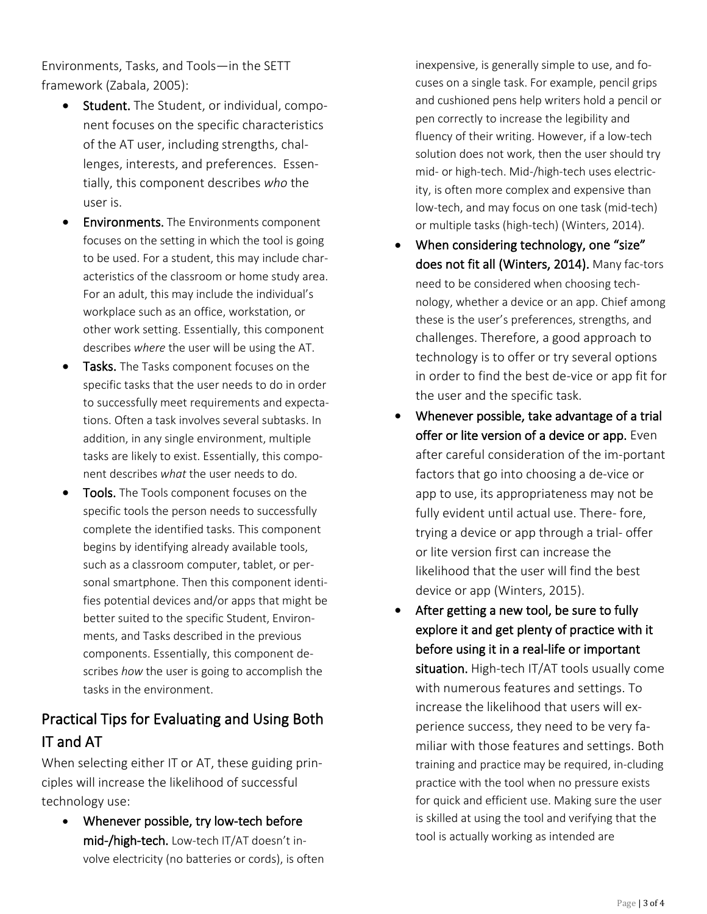Environments, Tasks, and Tools—in the SETT framework (Zabala, 2005):

- Student. The Student, or individual, component focuses on the specific characteristics of the AT user, including strengths, challenges, interests, and preferences. Essentially, this component describes *who* the user is.
- **Environments.** The Environments component focuses on the setting in which the tool is going to be used. For a student, this may include characteristics of the classroom or home study area. For an adult, this may include the individual's workplace such as an office, workstation, or other work setting. Essentially, this component describes *where* the user will be using the AT.
- Tasks. The Tasks component focuses on the specific tasks that the user needs to do in order to successfully meet requirements and expectations. Often a task involves several subtasks. In addition, in any single environment, multiple tasks are likely to exist. Essentially, this component describes *what* the user needs to do.
- Tools. The Tools component focuses on the specific tools the person needs to successfully complete the identified tasks. This component begins by identifying already available tools, such as a classroom computer, tablet, or personal smartphone. Then this component identifies potential devices and/or apps that might be better suited to the specific Student, Environments, and Tasks described in the previous components. Essentially, this component describes *how* the user is going to accomplish the tasks in the environment.

## Practical Tips for Evaluating and Using Both IT and AT

When selecting either IT or AT, these guiding principles will increase the likelihood of successful technology use:

• Whenever possible, try low-tech before mid-/high-tech. Low-tech IT/AT doesn't involve electricity (no batteries or cords), is often inexpensive, is generally simple to use, and focuses on a single task. For example, pencil grips and cushioned pens help writers hold a pencil or pen correctly to increase the legibility and fluency of their writing. However, if a low-tech solution does not work, then the user should try mid- or high-tech. Mid-/high-tech uses electricity, is often more complex and expensive than low-tech, and may focus on one task (mid-tech) or multiple tasks (high-tech) (Winters, 2014).

- When considering technology, one "size" does not fit all(Winters, 2014). Many fac-tors need to be considered when choosing technology, whether a device or an app. Chief among these is the user's preferences, strengths, and challenges. Therefore, a good approach to technology is to offer or try several options in order to find the best de-vice or app fit for the user and the specific task.
- Whenever possible, take advantage of a trial offer or lite version of a device or app. Even after careful consideration of the im-portant factors that go into choosing a de-vice or app to use, its appropriateness may not be fully evident until actual use. There- fore, trying a device or app through a trial- offer or lite version first can increase the likelihood that the user will find the best device or app (Winters, 2015).
- After getting a new tool, be sure to fully explore it and get plenty of practice with it before using it in a real-life or important situation. High-tech IT/AT tools usually come with numerous features and settings. To increase the likelihood that users will experience success, they need to be very familiar with those features and settings. Both training and practice may be required, in-cluding practice with the tool when no pressure exists for quick and efficient use. Making sure the user is skilled at using the tool and verifying that the tool is actually working as intended are